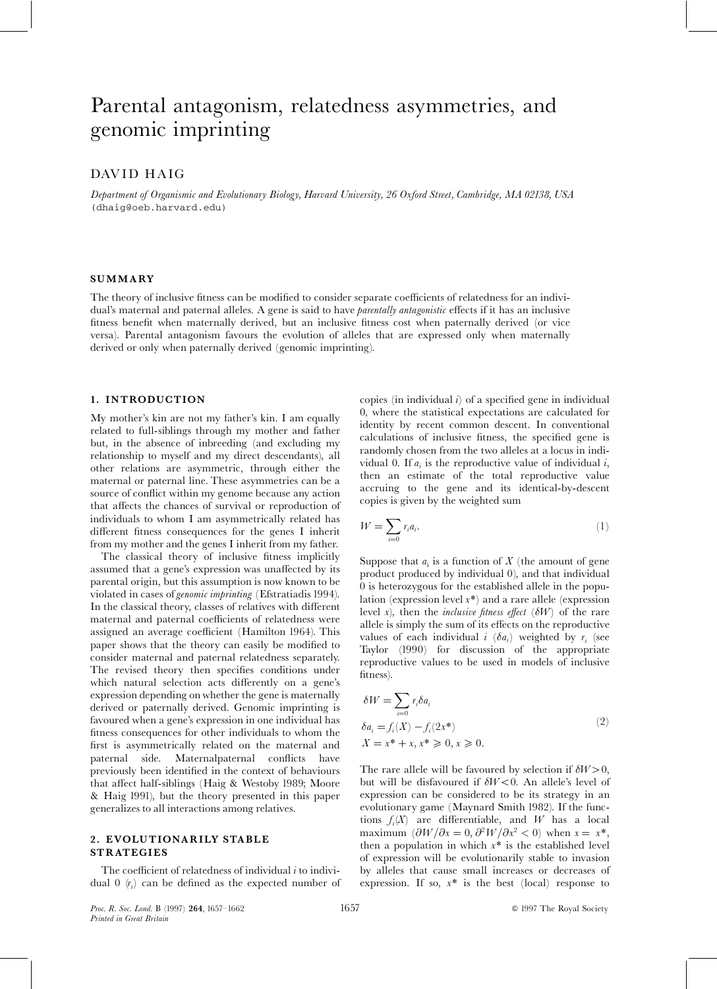# Parental antagonism, relatedness asymmetries, and genomic imprinting

## DAVID HAIG

Department of Organismic and Evolutionary Biology, Harvard University, 26 Oxford Street, Cambridge, MA 02138, USA (dhaig@oeb.harvard.edu)

#### SUMMARY

The theory of inclusive fitness can be modified to consider separate coefficients of relatedness for an individual's maternal and paternal alleles. A gene is said to have *parentally antagonistic* effects if it has an inclusive fitness benefit when maternally derived, but an inclusive fitness cost when paternally derived (or vice versa). Parental antagonism favours the evolution of alleles that are expressed only when maternally derived or only when paternally derived (genomic imprinting).

#### 1. INTRODUCTION

My mother's kin are not my father's kin. I am equally related to full-siblings through my mother and father but, in the absence of inbreeding (and excluding my relationship to myself and my direct descendants), all other relations are asymmetric, through either the maternal or paternal line. These asymmetries can be a source of conflict within my genome because any action that affects the chances of survival or reproduction of individuals to whom I am asymmetrically related has different fitness consequences for the genes I inherit from my mother and the genes I inherit from my father.

The classical theory of inclusive fitness implicitly assumed that a gene's expression was unaffected by its parental origin, but this assumption is now known to be violated in cases of genomic imprinting (Efstratiadis 1994). In the classical theory, classes of relatives with different maternal and paternal coefficients of relatedness were assigned an average coefficient (Hamilton 1964). This paper shows that the theory can easily be modified to consider maternal and paternal relatedness separately. The revised theory then specifies conditions under which natural selection acts differently on a gene's expression depending on whether the gene is maternally derived or paternally derived. Genomic imprinting is favoured when a gene's expression in one individual has fitness consequences for other individuals to whom the first is asymmetrically related on the maternal and paternal side. Maternalpaternal conflicts have previously been identified in the context of behaviours that affect half-siblings (Haig & Westoby 1989; Moore & Haig 1991), but the theory presented in this paper generalizes to all interactions among relatives.

### 2. EVOLUTIONARILY STABLE STRATEGIES

The coefficient of relatedness of individual  $i$  to individual  $0 \left( r_i \right)$  can be defined as the expected number of copies (in individual  $i$ ) of a specified gene in individual 0, where the statistical expectations are calculated for identity by recent common descent. In conventional calculations of inclusive fitness, the specified gene is randomly chosen from the two alleles at a locus in individual 0. If  $a_i$  is the reproductive value of individual i, then an estimate of the total reproductive value accruing to the gene and its identical-by-descent copies is given by the weighted sum

$$
W = \sum_{i=0} r_i a_i.
$$
 (1)

Suppose that  $a_i$  is a function of X (the amount of gene product produced by individual 0), and that individual 0 is heterozygous for the established allele in the population (expression level  $x^*$ ) and a rare allele (expression level x), then the *inclusive fitness effect* ( $\delta W$ ) of the rare allele is simply the sum of its effects on the reproductive values of each individual  $i \ (\delta a_i)$  weighted by  $r_i$  (see Taylor (1990) for discussion of the appropriate reproductive values to be used in models of inclusive fitness).

$$
\delta W = \sum_{i=0} r_i \delta a_i
$$
  
\n
$$
\delta a_i = f_i(X) - f_i(2x^*)
$$
  
\n
$$
X = x^* + x, x^* \ge 0, x \ge 0.
$$
  
\n(2)

The rare allele will be favoured by selection if  $\delta W > 0$ , but will be disfavoured if  $\delta W<0$ . An allele's level of expression can be considered to be its strategy in an evolutionary game (Maynard Smith 1982). If the functions  $f_i(X)$  are differentiable, and W has a local maximum  $(\partial W/\partial x = 0, \partial^2 W/\partial x^2 < 0)$  when  $x = x^*$ , then a population in which  $x^*$  is the established level of expression will be evolutionarily stable to invasion by alleles that cause small increases or decreases of expression. If so,  $x^*$  is the best (local) response to

Proc. R. Soc. Lond. B (1997) 264, 1657 1662 1657 1657 1657 81997 The Royal Society Printed in Great Britain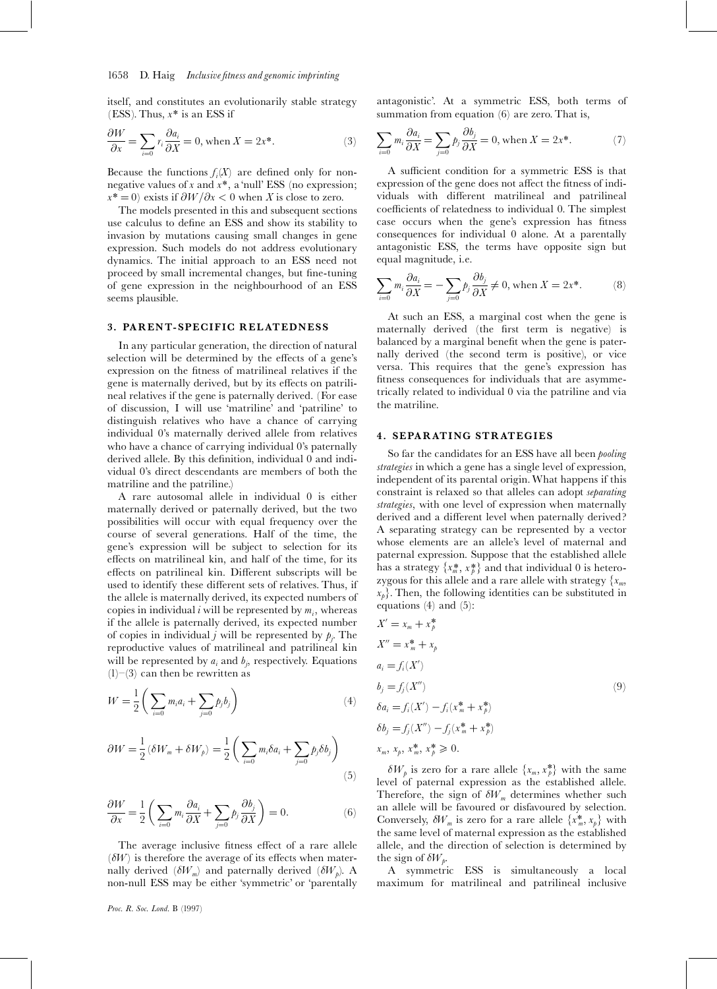### 1658 D. Haig Inclusive fitness and genomic imprinting

itself, and constitutes an evolutionarily stable strategy (ESS). Thus,  $x^*$  is an ESS if

$$
\frac{\partial W}{\partial x} = \sum_{i=0} r_i \frac{\partial a_i}{\partial X} = 0, \text{ when } X = 2x^*.
$$
 (3)

Because the functions  $f_i(X)$  are defined only for nonnegative values of x and  $x^*$ , a 'null' ESS (no expression;  $x^* = 0$ ) exists if  $\frac{\partial W}{\partial x} < 0$  when X is close to zero.

The models presented in this and subsequent sections use calculus to define an ESS and show its stability to invasion by mutations causing small changes in gene expression. Such models do not address evolutionary dynamics. The initial approach to an ESS need not proceed by small incremental changes, but fine-tuning of gene expression in the neighbourhood of an ESS seems plausible.

### 3. PARENT- SPECIFIC RELATEDNESS

In any particular generation, the direction of natural selection will be determined by the effects of a gene's expression on the fitness of matrilineal relatives if the gene is maternally derived, but by its effects on patrilineal relatives if the gene is paternally derived. (For ease of discussion, I will use `matriline' and `patriline' to distinguish relatives who have a chance of carrying individual 0's maternally derived allele from relatives who have a chance of carrying individual 0's paternally derived allele. By this definition, individual 0 and individual 0's direct descendants are members of both the matriline and the patriline.)

A rare autosomal allele in individual 0 is either maternally derived or paternally derived, but the two possibilities will occur with equal frequency over the course of several generations. Half of the time, the gene's expression will be subject to selection for its effects on matrilineal kin, and half of the time, for its effects on patrilineal kin. Different subscripts will be used to identify these different sets of relatives. Thus, if the allele is maternally derived, its expected numbers of copies in individual  $i$  will be represented by  $m_i$ , whereas if the allele is paternally derived, its expected number of copies in individual *j* will be represented by  $p_j$ . The reproductive values of matrilineal and patrilineal kin will be represented by  $a_i$  and  $b_j$ , respectively. Equations  $(1)$  – $(3)$  can then be rewritten as

$$
W = \frac{1}{2} \left( \sum_{i=0} m_i a_i + \sum_{j=0} p_j b_j \right)
$$
 (4)

$$
\partial W = \frac{1}{2} (\delta W_m + \delta W_p) = \frac{1}{2} \left( \sum_{i=0} m_i \delta a_i + \sum_{j=0} p_j \delta b_j \right)
$$
\n(5)

$$
\frac{\partial W}{\partial x} = \frac{1}{2} \left( \sum_{i=0} m_i \frac{\partial a_i}{\partial X} + \sum_{j=0} p_j \frac{\partial b_j}{\partial X} \right) = 0.
$$
 (6)

The average inclusive fitness effect of a rare allele  $(\delta W)$  is therefore the average of its effects when maternally derived  $(\delta W_m)$  and paternally derived  $(\delta W_p)$ . A non-null ESS may be either `symmetric' or `parentally

Proc. R. Soc. Lond. B (1997)

antagonistic'. At a symmetric ESS, both terms of summation from equation (6) are zero. That is,

$$
\sum_{i=0} m_i \frac{\partial a_i}{\partial X} = \sum_{j=0} p_j \frac{\partial b_j}{\partial X} = 0, \text{ when } X = 2x^*.
$$
 (7)

A sufficient condition for a symmetric ESS is that expression of the gene does not affect the fitness of individuals with different matrilineal and patrilineal coefficients of relatedness to individual 0. The simplest case occurs when the gene's expression has fitness consequences for individual 0 alone. At a parentally antagonistic ESS, the terms have opposite sign but equal magnitude, i.e.

$$
\sum_{i=0} m_i \frac{\partial a_i}{\partial X} = -\sum_{j=0} p_j \frac{\partial b_j}{\partial X} \neq 0, \text{ when } X = 2x^*.
$$
 (8)

At such an ESS, a marginal cost when the gene is maternally derived (the first term is negative) is balanced by a marginal benefit when the gene is paternally derived (the second term is positive), or vice versa. This requires that the gene's expression has fitness consequences for individuals that are asymmetrically related to individual 0 via the patriline and via the matriline.

## 4. SEPARATING STRATEGIES

So far the candidates for an ESS have all been pooling strategies in which a gene has a single level of expression, independent of its parental origin.What happens if this constraint is relaxed so that alleles can adopt separating strategies, with one level of expression when maternally derived and a different level when paternally derived? A separating strategy can be represented by a vector whose elements are an allele's level of maternal and paternal expression. Suppose that the established allele has a strategy  $\{x_m^*, x_p^*\}$  and that individual 0 is heterozygous for this allele and a rare allele with strategy  $\{x_m,$  $x_p$ . Then, the following identities can be substituted in equations (4) and (5):

$$
X' = x_m + x_p^*
$$
  
\n
$$
X'' = x_m^* + x_p
$$
  
\n
$$
a_i = f_i(X')
$$
  
\n
$$
b_j = f_j(X'')
$$
  
\n
$$
\delta a_i = f_i(X') - f_i(x_m^* + x_p^*)
$$
  
\n
$$
\delta b_j = f_j(X'') - f_j(x_m^* + x_p^*)
$$
  
\n
$$
x_m, x_p, x_m^*, x_p^* \ge 0.
$$
  
\n(9)

 $\delta W_p$  is zero for a rare allele  $\{x_m, x_p^*\}$  with the same level of paternal expression as the established allele. Therefore, the sign of  $\delta W_m$  determines whether such an allele will be favoured or disfavoured by selection. Conversely,  $\delta W_m$  is zero for a rare allele  $\{x_m^*, x_p\}$  with the same level of maternal expression as the established allele, and the direction of selection is determined by the sign of  $\delta W_p$ .

A symmetric ESS is simultaneously a local maximum for matrilineal and patrilineal inclusive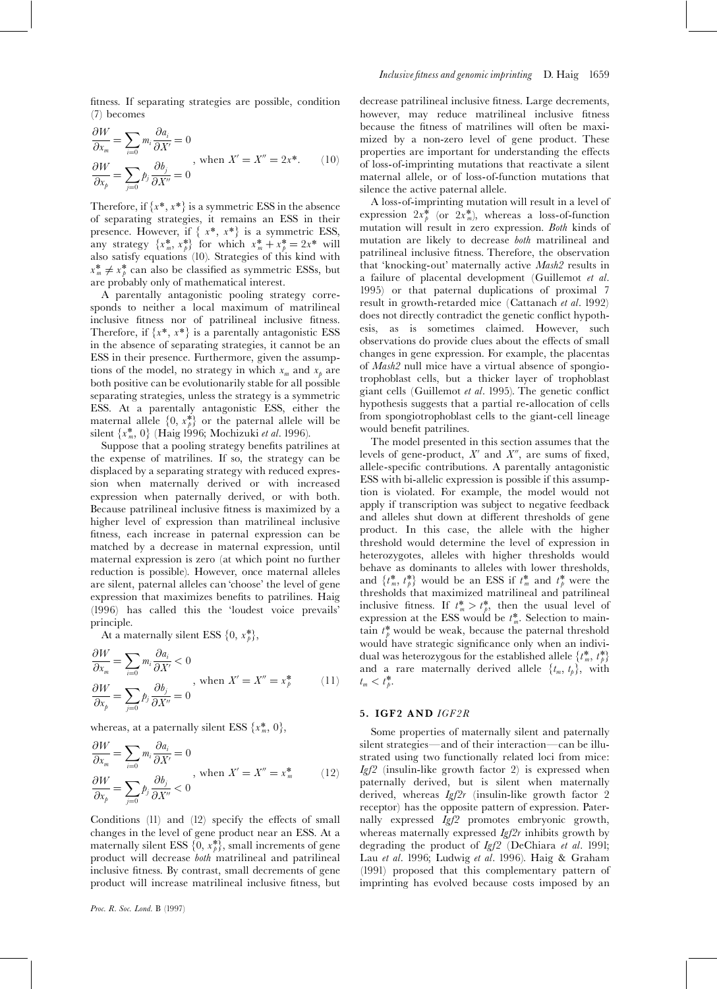fitness. If separating strategies are possible, condition (7) becomes

$$
\frac{\partial W}{\partial x_m} = \sum_{i=0} m_i \frac{\partial a_i}{\partial X'} = 0
$$
\n
$$
\frac{\partial W}{\partial x_p} = \sum_{j=0} p_j \frac{\partial b_j}{\partial X''} = 0
$$
\n, when  $X' = X'' = 2x^*$ .

\n(10)

Therefore, if  $\{x^*, x^*\}$  is a symmetric ESS in the absence of separating strategies, it remains an ESS in their presence. However, if  $\{x^*, x^*\}$  is a symmetric ESS, any strategy  $\{x_m^*, x_p^*\}$  for which  $x_m^* + x_p^* = 2x^*$  will also satisfy equations (10). Strategies of this kind with  $x_m^* \neq x_p^*$  can also be classified as symmetric ESSs, but are probably only of mathematical interest.

A parentally antagonistic pooling strategy corresponds to neither a local maximum of matrilineal inclusive fitness nor of patrilineal inclusive fitness. Therefore, if  $\{x^*, x^*\}$  is a parentally antagonistic ESS in the absence of separating strategies, it cannot be an ESS in their presence. Furthermore, given the assumptions of the model, no strategy in which  $x_m$  and  $x_p$  are both positive can be evolutionarily stable for all possible separating strategies, unless the strategy is a symmetric ESS. At a parentally antagonistic ESS, either the maternal allele  $\{0, x_k^*\}$  or the paternal allele will be silent { $x_m^*$ , 0} (Haig 1996; Mochizuki *et al.* 1996).

Suppose that a pooling strategy benefits patrilines at the expense of matrilines. If so, the strategy can be displaced by a separating strategy with reduced expression when maternally derived or with increased expression when paternally derived, or with both. Because patrilineal inclusive fitness is maximized by a higher level of expression than matrilineal inclusive fitness, each increase in paternal expression can be matched by a decrease in maternal expression, until maternal expression is zero (at which point no further reduction is possible). However, once maternal alleles are silent, paternal alleles can `choose' the level of gene expression that maximizes benefits to patrilines. Haig (1996) has called this the `loudest voice prevails' principle.

At a maternally silent ESS  $\{0, x_{b}^{*}\},$ 

$$
\frac{\partial W}{\partial x_m} = \sum_{i=0} m_i \frac{\partial a_i}{\partial X'} < 0
$$
  

$$
\frac{\partial W}{\partial x_p} = \sum_{j=0} p_j \frac{\partial b_j}{\partial X''} = 0
$$
, when  $X' = X'' = x_p^*$  (11)

whereas, at a paternally silent ESS  $\{x_m^*, 0\}$ ,

$$
\frac{\partial W}{\partial x_m} = \sum_{i=0} m_i \frac{\partial a_i}{\partial X'} = 0
$$
\n
$$
\frac{\partial W}{\partial x_p} = \sum_{j=0} p_j \frac{\partial b_j}{\partial X''} < 0
$$
\nwhen  $X' = X'' = x_m^*$ 

\n(12)

Conditions  $(11)$  and  $(12)$  specify the effects of small changes in the level of gene product near an ESS. At a maternally silent ESS  $\{0, x^*_\beta\}$ , small increments of gene product will decrease both matrilineal and patrilineal inclusive fitness. By contrast, small decrements of gene product will increase matrilineal inclusive fitness, but

decrease patrilineal inclusive fitness. Large decrements, however, may reduce matrilineal inclusive fitness because the fitness of matrilines will often be maximized by a non-zero level of gene product. These properties are important for understanding the effects of loss-of-imprinting mutations that reactivate a silent maternal allele, or of loss-of-function mutations that silence the active paternal allele.

A loss-of-imprinting mutation will result in a level of expression  $2x_p^*$  (or  $2x_m^*$ ), whereas a loss-of-function mutation will result in zero expression. Both kinds of mutation are likely to decrease both matrilineal and patrilineal inclusive fitness. Therefore, the observation that 'knocking-out' maternally active Mash2 results in a failure of placental development (Guillemot et al. 1995) or that paternal duplications of proximal 7 result in growth-retarded mice (Cattanach et al. 1992) does not directly contradict the genetic conflict hypothesis, as is sometimes claimed. However, such observations do provide clues about the effects of small changes in gene expression. For example, the placentas of Mash2 null mice have a virtual absence of spongiotrophoblast cells, but a thicker layer of trophoblast giant cells (Guillemot et al. 1995). The genetic conflict hypothesis suggests that a partial re-allocation of cells from spongiotrophoblast cells to the giant-cell lineage would benefit patrilines.

The model presented in this section assumes that the levels of gene-product,  $X'$  and  $X''$ , are sums of fixed, allele-specific contributions. A parentally antagonistic ESS with bi-allelic expression is possible if this assumption is violated. For example, the model would not apply if transcription was subject to negative feedback and alleles shut down at different thresholds of gene product. In this case, the allele with the higher threshold would determine the level of expression in heterozygotes, alleles with higher thresholds would behave as dominants to alleles with lower thresholds, and  $\{t^*_m, t^*_p\}$  would be an ESS if  $t^*_m$  and  $t^*_p$  were the thresholds that maximized matrilineal and patrilineal inclusive fitness. If  $t^*_m > t^*_p$ , then the usual level of expression at the ESS would be  $t^*_m$ . Selection to maintain  $t^*_{\theta}$  would be weak, because the paternal threshold would have strategic significance only when an individual was heterozygous for the established allele  $\{t^*_m,\,t^*_p\}$ and a rare maternally derived allele  $\{t_m, t_p\}$ , with  $t_m < t_p^*$ .

#### 5. IGF2 AND IGF2R

Some properties of maternally silent and paternally silent strategies—and of their interaction—can be illustrated using two functionally related loci from mice:  $Igf2$  (insulin-like growth factor 2) is expressed when paternally derived, but is silent when maternally derived, whereas Igf2r (insulin-like growth factor 2 receptor) has the opposite pattern of expression. Paternally expressed Igf2 promotes embryonic growth, whereas maternally expressed  $Igf2r$  inhibits growth by degrading the product of Igf2 (DeChiara et al. 1991; Lau et al. 1996; Ludwig et al. 1996). Haig & Graham (1991) proposed that this complementary pattern of imprinting has evolved because costs imposed by an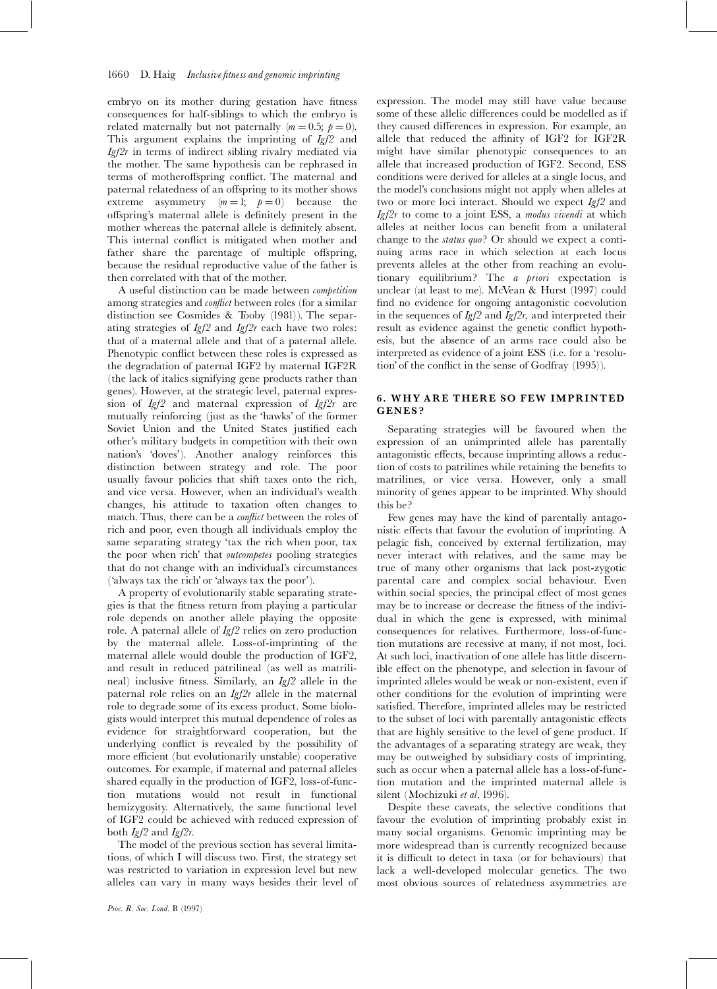#### 1660 D. Haig Inclusive fitness and genomic imprinting

embryo on its mother during gestation have fitness consequences for half-siblings to which the embryo is related maternally but not paternally  $(m = 0.5; \ p = 0)$ . This argument explains the imprinting of  $Igf2$  and  $Igf2r$  in terms of indirect sibling rivalry mediated via the mother. The same hypothesis can be rephrased in terms of motheroffspring conflict. The maternal and paternal relatedness of an offspring to its mother shows extreme asymmetry  $(m = 1; p = 0)$  because the offspring's maternal allele is definitely present in the mother whereas the paternal allele is definitely absent. This internal conflict is mitigated when mother and father share the parentage of multiple offspring, because the residual reproductive value of the father is then correlated with that of the mother.

A useful distinction can be made between competition among strategies and *conflict* between roles (for a similar distinction see Cosmides & Tooby (1981)). The separating strategies of  $Igf2$  and  $Igf2r$  each have two roles: that of a maternal allele and that of a paternal allele. Phenotypic conflict between these roles is expressed as the degradation of paternal IGF2 by maternal IGF2R (the lack of italics signifying gene products rather than genes). However, at the strategic level, paternal expression of Igf2 and maternal expression of Igf2r are mutually reinforcing (just as the `hawks' of the former Soviet Union and the United States justified each other's military budgets in competition with their own nation's `doves'). Another analogy reinforces this distinction between strategy and role. The poor usually favour policies that shift taxes onto the rich, and vice versa. However, when an individual's wealth changes, his attitude to taxation often changes to match. Thus, there can be a *conflict* between the roles of rich and poor, even though all individuals employ the same separating strategy 'tax the rich when poor, tax the poor when rich' that outcompetes pooling strategies that do not change with an individual's circumstances (`always tax the rich' or `always tax the poor').

A property of evolutionarily stable separating strategies is that the fitness return from playing a particular role depends on another allele playing the opposite role. A paternal allele of Igf2 relies on zero production by the maternal allele. Loss-of-imprinting of the maternal allele would double the production of IGF2, and result in reduced patrilineal (as well as matrilineal) inclusive fitness. Similarly, an  $Igf2$  allele in the paternal role relies on an  $Ig/2r$  allele in the maternal role to degrade some of its excess product. Some biologists would interpret this mutual dependence of roles as evidence for straightforward cooperation, but the underlying conflict is revealed by the possibility of more efficient (but evolutionarily unstable) cooperative outcomes. For example, if maternal and paternal alleles shared equally in the production of IGF2, loss-of-function mutations would not result in functional hemizygosity. Alternatively, the same functional level of IGF2 could be achieved with reduced expression of both Igf2 and Igf2r.

The model of the previous section has several limitations, of which I will discuss two. First, the strategy set was restricted to variation in expression level but new alleles can vary in many ways besides their level of expression. The model may still have value because some of these allelic differences could be modelled as if they caused differences in expression. For example, an allele that reduced the affinity of IGF2 for IGF2R might have similar phenotypic consequences to an allele that increased production of IGF2. Second, ESS conditions were derived for alleles at a single locus, and the model's conclusions might not apply when alleles at two or more loci interact. Should we expect  $I\llsub>gf2$  and  $Igf2r$  to come to a joint ESS, a modus vivendi at which alleles at neither locus can bene¢t from a unilateral change to the status quo? Or should we expect a continuing arms race in which selection at each locus prevents alleles at the other from reaching an evolutionary equilibrium? The a priori expectation is unclear (at least to me). McVean & Hurst (1997) could find no evidence for ongoing antagonistic coevolution in the sequences of  $Igf2$  and  $Igf2r$ , and interpreted their result as evidence against the genetic conflict hypothesis, but the absence of an arms race could also be interpreted as evidence of a joint ESS (i.e. for a `resolution' of the conflict in the sense of Godfray (1995)).

### 6. WHY ARE THERE SO FEW IMPRINTED GENES ?

Separating strategies will be favoured when the expression of an unimprinted allele has parentally antagonistic effects, because imprinting allows a reduction of costs to patrilines while retaining the bene¢ts to matrilines, or vice versa. However, only a small minority of genes appear to be imprinted. Why should this be?

Few genes may have the kind of parentally antagonistic effects that favour the evolution of imprinting. A pelagic fish, conceived by external fertilization, may never interact with relatives, and the same may be true of many other organisms that lack post-zygotic parental care and complex social behaviour. Even within social species, the principal effect of most genes may be to increase or decrease the fitness of the individual in which the gene is expressed, with minimal consequences for relatives. Furthermore, loss-of-function mutations are recessive at many, if not most, loci. At such loci, inactivation of one allele has little discernible effect on the phenotype, and selection in favour of imprinted alleles would be weak or non-existent, even if other conditions for the evolution of imprinting were satisfied. Therefore, imprinted alleles may be restricted to the subset of loci with parentally antagonistic effects that are highly sensitive to the level of gene product. If the advantages of a separating strategy are weak, they may be outweighed by subsidiary costs of imprinting, such as occur when a paternal allele has a loss-of-function mutation and the imprinted maternal allele is silent (Mochizuki et al. 1996).

Despite these caveats, the selective conditions that favour the evolution of imprinting probably exist in many social organisms. Genomic imprinting may be more widespread than is currently recognized because it is difficult to detect in taxa (or for behaviours) that lack a well-developed molecular genetics. The two most obvious sources of relatedness asymmetries are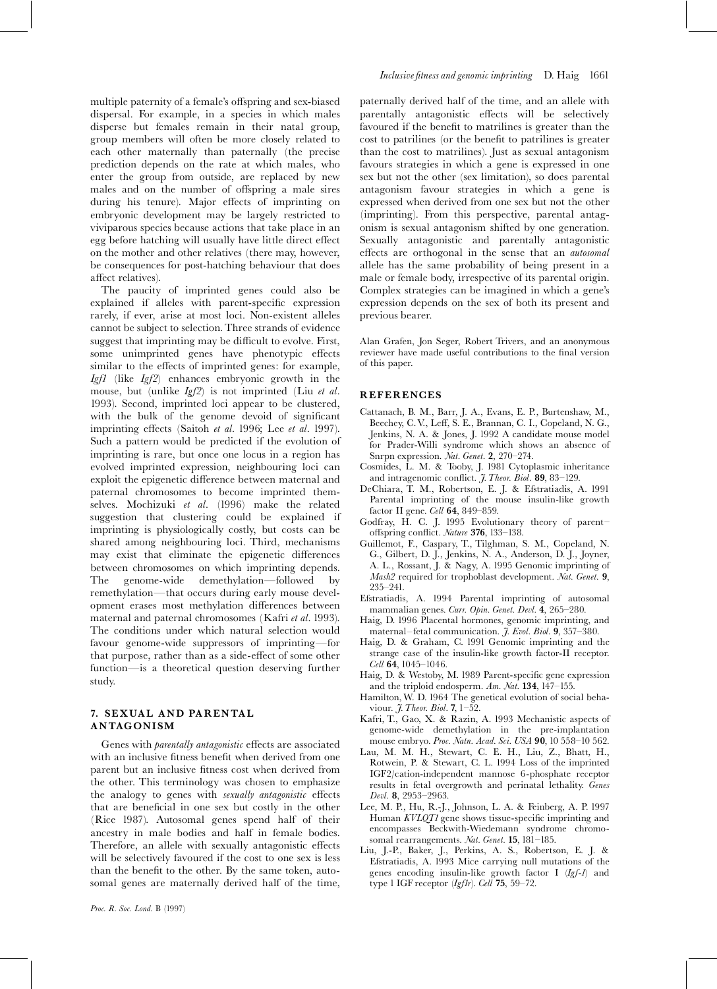multiple paternity of a female's offspring and sex-biased dispersal. For example, in a species in which males disperse but females remain in their natal group, group members will often be more closely related to each other maternally than paternally (the precise prediction depends on the rate at which males, who enter the group from outside, are replaced by new males and on the number of offspring a male sires during his tenure). Major effects of imprinting on embryonic development may be largely restricted to viviparous species because actions that take place in an egg before hatching will usually have little direct effect on the mother and other relatives (there may, however, be consequences for post-hatching behaviour that does affect relatives).

The paucity of imprinted genes could also be explained if alleles with parent-specific expression rarely, if ever, arise at most loci. Non-existent alleles cannot be subject to selection.Three strands of evidence suggest that imprinting may be difficult to evolve. First, some unimprinted genes have phenotypic effects similar to the effects of imprinted genes: for example, Igf1 (like Igf2) enhances embryonic growth in the mouse, but (unlike  $Igf2$ ) is not imprinted (Liu et al. 1993). Second, imprinted loci appear to be clustered, with the bulk of the genome devoid of significant imprinting effects (Saitoh et al. 1996; Lee et al. 1997). Such a pattern would be predicted if the evolution of imprinting is rare, but once one locus in a region has evolved imprinted expression, neighbouring loci can exploit the epigenetic difference between maternal and paternal chromosomes to become imprinted themselves. Mochizuki et al. (1996) make the related suggestion that clustering could be explained if imprinting is physiologically costly, but costs can be shared among neighbouring loci. Third, mechanisms may exist that eliminate the epigenetic differences between chromosomes on which imprinting depends. The genome-wide demethylation—followed by remethylation—that occurs during early mouse development erases most methylation differences between maternal and paternal chromosomes (Kafri et al. 1993). The conditions under which natural selection would favour genome-wide suppressors of imprinting—for that purpose, rather than as a side-effect of some other function—is a theoretical question deserving further study.

## 7. SEXUAL AND PARENTAL ANTAGONISM

Genes with *parentally antagonistic* effects are associated with an inclusive fitness benefit when derived from one parent but an inclusive fitness cost when derived from the other. This terminology was chosen to emphasize the analogy to genes with sexually antagonistic effects that are beneficial in one sex but costly in the other (Rice 1987). Autosomal genes spend half of their ancestry in male bodies and half in female bodies. Therefore, an allele with sexually antagonistic effects will be selectively favoured if the cost to one sex is less than the benefit to the other. By the same token, autosomal genes are maternally derived half of the time,

paternally derived half of the time, and an allele with parentally antagonistic effects will be selectively favoured if the benefit to matrilines is greater than the cost to patrilines (or the bene¢t to patrilines is greater than the cost to matrilines). Just as sexual antagonism favours strategies in which a gene is expressed in one sex but not the other (sex limitation), so does parental antagonism favour strategies in which a gene is expressed when derived from one sex but not the other (imprinting). From this perspective, parental antagonism is sexual antagonism shifted by one generation. Sexually antagonistic and parentally antagonistic effects are orthogonal in the sense that an *autosomal* allele has the same probability of being present in a male or female body, irrespective of its parental origin. Complex strategies can be imagined in which a gene's expression depends on the sex of both its present and previous bearer.

Alan Grafen, Jon Seger, Robert Trivers, and an anonymous reviewer have made useful contributions to the final version of this paper.

#### **REFERENCES**

- Cattanach, B. M., Barr, J. A., Evans, E. P., Burtenshaw, M., Beechey, C.V., Leff, S. E., Brannan, C. I., Copeland, N. G., Jenkins, N. A. & Jones, J. 1992 A candidate mouse model for Prader-Willi syndrome which shows an absence of Snrpn expression. Nat. Genet. 2, 270-274.
- Cosmides, L. M. & Tooby, J. 1981 Cytoplasmic inheritance and intragenomic conflict.  $\tilde{J}$ . Theor. Biol. 89, 83-129.
- DeChiara, T. M., Robertson, E. J. & Efstratiadis, A. 1991 Parental imprinting of the mouse insulin-like growth factor II gene. Cell 64, 849-859.
- Godfray, H. C. J. 1995 Evolutionary theory of parent^ offspring conflict. Nature 376, 133-138.
- Guillemot, F., Caspary, T., Tilghman, S. M., Copeland, N. G., Gilbert, D. J., Jenkins, N. A., Anderson, D. J., Joyner, A. L., Rossant, J. & Nagy, A. 1995 Genomic imprinting of Mash2 required for trophoblast development. Nat. Genet. 9, 235^241.
- Efstratiadis, A. 1994 Parental imprinting of autosomal mammalian genes. Curr. Opin. Genet. Devl. 4, 265-280.
- Haig, D. 1996 Placental hormones, genomic imprinting, and maternal–fetal communication.  $\tilde{J}$ . Evol. Biol. 9, 357–380.
- Haig, D. & Graham, C. 1991 Genomic imprinting and the strange case of the insulin-like growth factor-II receptor.  $Cell$  64, 1045-1046.
- Haig, D. & Westoby, M. 1989 Parent-specific gene expression and the triploid endosperm.  $Am.$  Nat. 134, 147-155.
- Hamilton, W. D. 1964 The genetical evolution of social behaviour.  $\tilde{J}$ . Theor. Biol. 7, 1-52.
- Kafri, T., Gao, X. & Razin, A. 1993 Mechanistic aspects of genome-wide demethylation in the pre-implantation mouse embryo. Proc. Natn. Acad. Sci. USA 90, 10 558-10 562.
- Lau, M. M. H., Stewart, C. E. H., Liu, Z., Bhatt, H., Rotwein, P. & Stewart, C. L. 1994 Loss of the imprinted IGF2/cation-independent mannose 6-phosphate receptor results in fetal overgrowth and perinatal lethality. Genes Devl. 8, 2953-2963.
- Lee, M. P., Hu, R.-J., Johnson, L. A. & Feinberg, A. P. 1997 Human  $KVLQTI$  gene shows tissue-specific imprinting and encompasses Beckwith-Wiedemann syndrome chromosomal rearrangements. Nat. Genet. 15, 181-185.
- Liu, J.-P., Baker, J., Perkins, A. S., Robertson, E. J. & Efstratiadis, A. 1993 Mice carrying null mutations of the genes encoding insulin-like growth factor I (Igf-1) and type 1 IGF receptor  $(Igflr)$ . Cell 75, 59-72.